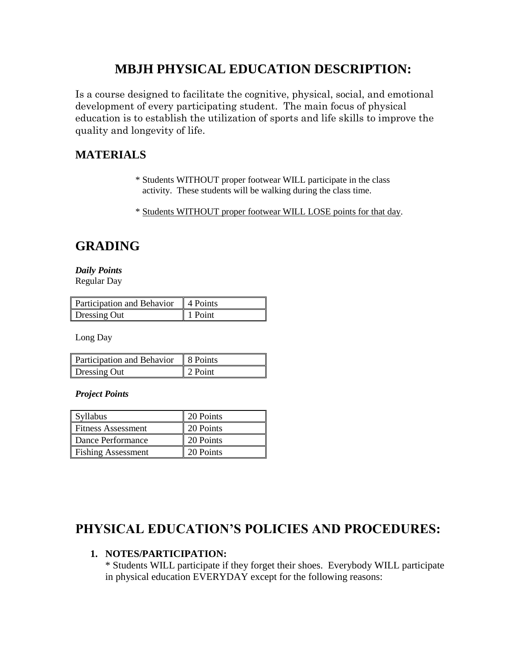# **MBJH PHYSICAL EDUCATION DESCRIPTION:**

Is a course designed to facilitate the cognitive, physical, social, and emotional development of every participating student. The main focus of physical education is to establish the utilization of sports and life skills to improve the quality and longevity of life.

## **MATERIALS**

- \* Students WITHOUT proper footwear WILL participate in the class activity. These students will be walking during the class time.
- \* Students WITHOUT proper footwear WILL LOSE points for that day.

## **GRADING**

*Daily Points*  Regular Day

| Participation and Behavior 4 Points |         |
|-------------------------------------|---------|
| Dressing Out                        | 1 Point |

Long Day

| Participation and Behavior | 8 Points |
|----------------------------|----------|
| Dressing Out               | 2 Point  |

*Project Points*

| Syllabus           | 20 Points |
|--------------------|-----------|
| Fitness Assessment | 20 Points |
| Dance Performance  | 20 Points |
| Fishing Assessment | 20 Points |

## **PHYSICAL EDUCATION'S POLICIES AND PROCEDURES:**

### **1. NOTES/PARTICIPATION:**

\* Students WILL participate if they forget their shoes. Everybody WILL participate in physical education EVERYDAY except for the following reasons: